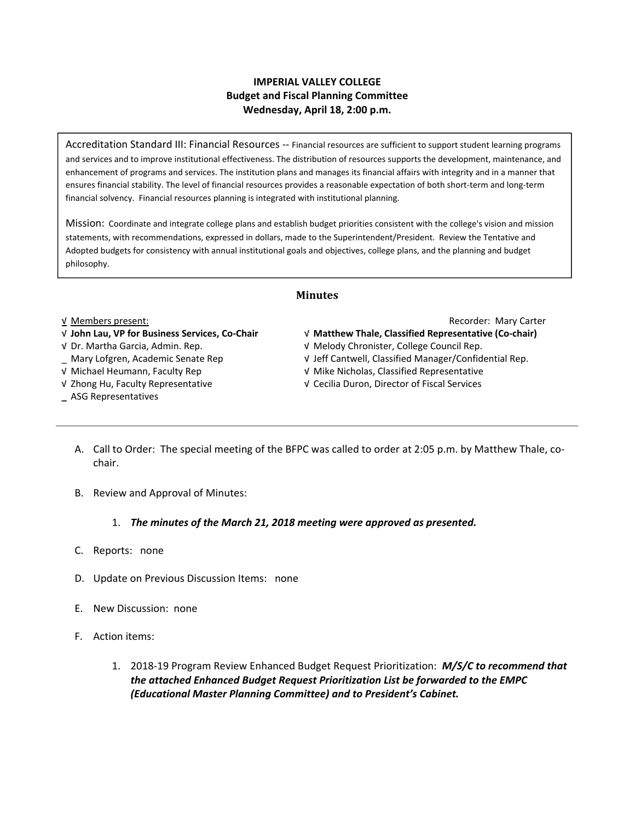### **IMPERIAL VALLEY COLLEGE Budget and Fiscal Planning Committee Wednesday, April 18, 2:00 p.m.**

Accreditation Standard III: Financial Resources ‐‐ Financial resources are sufficient to support student learning programs and services and to improve institutional effectiveness. The distribution of resources supports the development, maintenance, and enhancement of programs and services. The institution plans and manages its financial affairs with integrity and in a manner that ensures financial stability. The level of financial resources provides a reasonable expectation of both short‐term and long‐term financial solvency. Financial resources planning is integrated with institutional planning.

Mission: Coordinate and integrate college plans and establish budget priorities consistent with the college's vision and mission statements, with recommendations, expressed in dollars, made to the Superintendent/President. Review the Tentative and Adopted budgets for consistency with annual institutional goals and objectives, college plans, and the planning and budget philosophy.

#### **Minutes**

#### √ **John Lau, VP for Business Services, Co‐Chair**  √ **Matthew Thale, Classified Representative (Co‐chair)**

- 
- 
- √ Michael Heumann, Faculty Rep √ Mike Nicholas, Classified Representative
- 
- **\_** ASG Representatives

√ Members present: Recorder: Mary Carter

- 
- √ Dr. Martha Garcia, Admin. Rep. √ Melody Chronister, College Council Rep.
- \_ Mary Lofgren, Academic Senate Rep √ Jeff Cantwell, Classified Manager/Confidential Rep.
	-
- √ Zhong Hu, Faculty Representative √ Cecilia Duron, Director of Fiscal Services
	- A. Call to Order: The special meeting of the BFPC was called to order at 2:05 p.m. by Matthew Thale, co‐ chair.
	- B. Review and Approval of Minutes:

#### 1. *The minutes of the March 21, 2018 meeting were approved as presented.*

- C. Reports: none
- D. Update on Previous Discussion Items: none
- E. New Discussion: none
- F. Action items:
	- 1. 2018‐19 Program Review Enhanced Budget Request Prioritization: *M/S/C to recommend that the attached Enhanced Budget Request Prioritization List be forwarded to the EMPC (Educational Master Planning Committee) and to President's Cabinet.*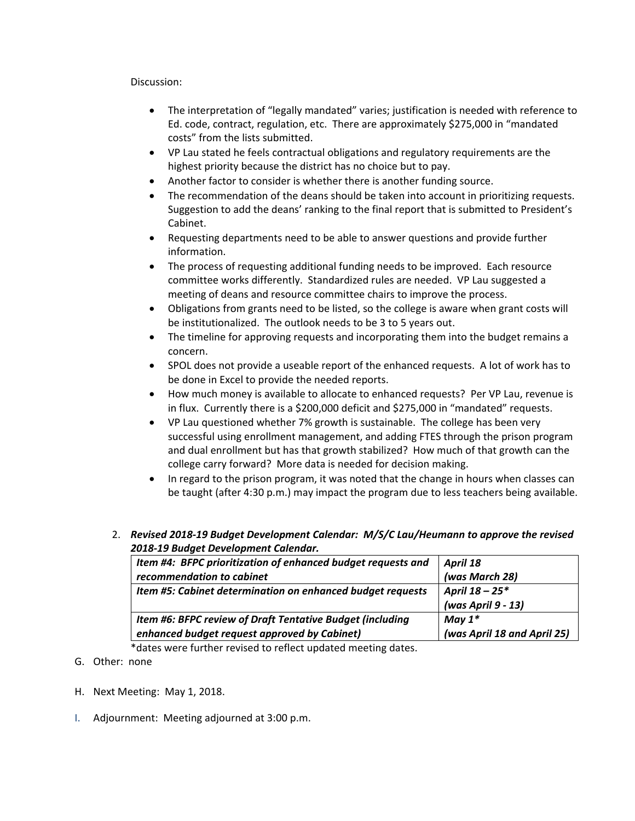#### Discussion:

- The interpretation of "legally mandated" varies; justification is needed with reference to Ed. code, contract, regulation, etc. There are approximately \$275,000 in "mandated costs" from the lists submitted.
- VP Lau stated he feels contractual obligations and regulatory requirements are the highest priority because the district has no choice but to pay.
- Another factor to consider is whether there is another funding source.
- The recommendation of the deans should be taken into account in prioritizing requests. Suggestion to add the deans' ranking to the final report that is submitted to President's Cabinet.
- Requesting departments need to be able to answer questions and provide further information.
- The process of requesting additional funding needs to be improved. Each resource committee works differently. Standardized rules are needed. VP Lau suggested a meeting of deans and resource committee chairs to improve the process.
- Obligations from grants need to be listed, so the college is aware when grant costs will be institutionalized. The outlook needs to be 3 to 5 years out.
- The timeline for approving requests and incorporating them into the budget remains a concern.
- SPOL does not provide a useable report of the enhanced requests. A lot of work has to be done in Excel to provide the needed reports.
- How much money is available to allocate to enhanced requests? Per VP Lau, revenue is in flux. Currently there is a \$200,000 deficit and \$275,000 in "mandated" requests.
- VP Lau questioned whether 7% growth is sustainable. The college has been very successful using enrollment management, and adding FTES through the prison program and dual enrollment but has that growth stabilized? How much of that growth can the college carry forward? More data is needed for decision making.
- In regard to the prison program, it was noted that the change in hours when classes can be taught (after 4:30 p.m.) may impact the program due to less teachers being available.
- 2. *Revised 2018‐19 Budget Development Calendar: M/S/C Lau/Heumann to approve the revised 2018‐19 Budget Development Calendar.*

| Item #4: BFPC prioritization of enhanced budget requests and | April 18                    |
|--------------------------------------------------------------|-----------------------------|
| recommendation to cabinet                                    | (was March 28)              |
| Item #5: Cabinet determination on enhanced budget requests   | April 18 - 25*              |
|                                                              | (was April 9 - 13)          |
| Item #6: BFPC review of Draft Tentative Budget (including    | May $1^*$                   |
| enhanced budget request approved by Cabinet)                 | (was April 18 and April 25) |
|                                                              |                             |

\*dates were further revised to reflect updated meeting dates.

- G. Other: none
- H. Next Meeting: May 1, 2018.
- I. Adjournment: Meeting adjourned at 3:00 p.m.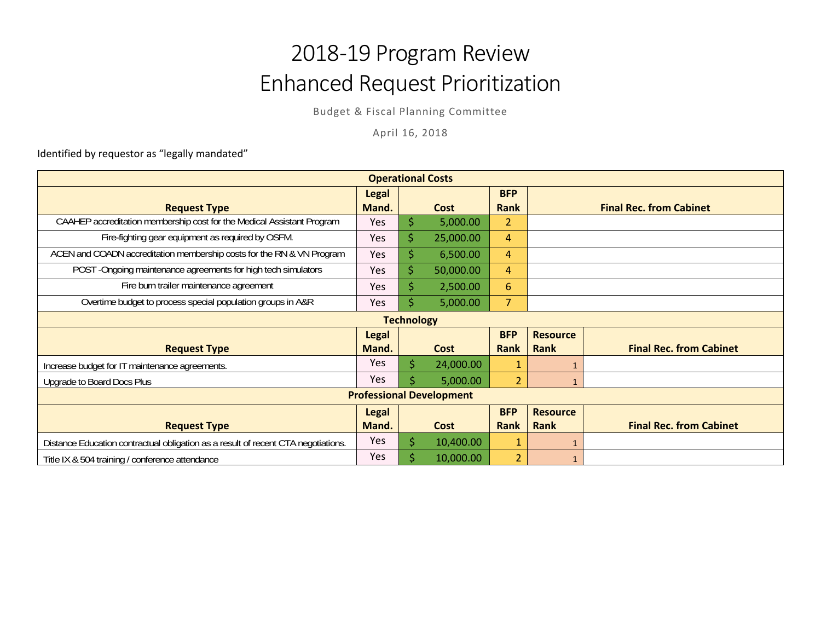# 2018‐19 Program Review Enhanced Request Prioritization

Budget & Fiscal Planning Committee

April 16, 2018

Identified by requestor as "legally mandated"

| <b>Operational Costs</b>                                                          |              |    |             |                |                 |                                |  |
|-----------------------------------------------------------------------------------|--------------|----|-------------|----------------|-----------------|--------------------------------|--|
|                                                                                   | <b>Legal</b> |    |             | <b>BFP</b>     |                 |                                |  |
| <b>Request Type</b>                                                               | Mand.        |    | Cost        | Rank           |                 | <b>Final Rec. from Cabinet</b> |  |
| CAAHEP accreditation membership cost for the Medical Assistant Program            | Yes          | \$ | 5,000.00    | 2              |                 |                                |  |
| Fire-fighting gear equipment as required by OSFM.                                 | Yes          | \$ | 25,000.00   | 4              |                 |                                |  |
| ACEN and COADN accreditation membership costs for the RN & VN Program             | Yes          | \$ | 6,500.00    | 4              |                 |                                |  |
| POST -Ongoing maintenance agreements for high tech simulators                     | Yes          | \$ | 50,000.00   | 4              |                 |                                |  |
| Fire burn trailer maintenance agreement                                           | Yes          | Ś  | 2,500.00    | 6              |                 |                                |  |
| Overtime budget to process special population groups in A&R                       | Yes          |    | 5,000.00    | 7              |                 |                                |  |
| <b>Technology</b>                                                                 |              |    |             |                |                 |                                |  |
|                                                                                   | <b>Legal</b> |    |             | <b>BFP</b>     | <b>Resource</b> |                                |  |
| <b>Request Type</b>                                                               | Mand.        |    | Cost        | Rank           | Rank            | <b>Final Rec. from Cabinet</b> |  |
| Increase budget for IT maintenance agreements.                                    | Yes          | Ś  | 24,000.00   | 1              |                 |                                |  |
| Upgrade to Board Docs Plus                                                        | Yes          |    | 5,000.00    | $\overline{2}$ |                 |                                |  |
| <b>Professional Development</b>                                                   |              |    |             |                |                 |                                |  |
|                                                                                   | <b>Legal</b> |    |             | <b>BFP</b>     | <b>Resource</b> |                                |  |
| <b>Request Type</b>                                                               | Mand.        |    | <b>Cost</b> | Rank           | Rank            | <b>Final Rec. from Cabinet</b> |  |
| Distance Education contractual obligation as a result of recent CTA negotiations. | Yes          | \$ | 10,400.00   | 1              |                 |                                |  |
| Title IX & 504 training / conference attendance                                   | Yes          |    | 10,000.00   | $\overline{2}$ |                 |                                |  |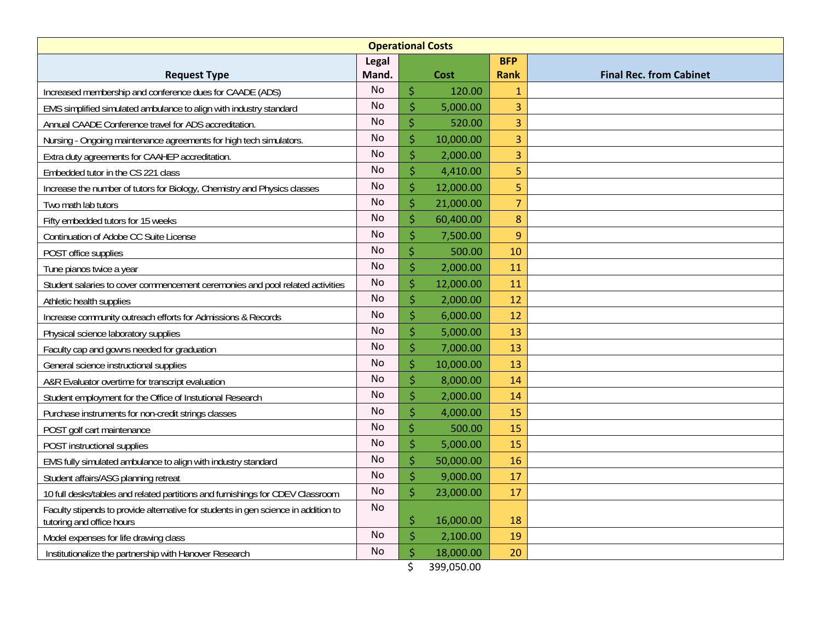| <b>Operational Costs</b>                                                                                        |           |                     |           |                |                                |  |  |  |
|-----------------------------------------------------------------------------------------------------------------|-----------|---------------------|-----------|----------------|--------------------------------|--|--|--|
|                                                                                                                 | Legal     |                     |           | <b>BFP</b>     |                                |  |  |  |
| <b>Request Type</b>                                                                                             | Mand.     |                     | Cost      | <b>Rank</b>    | <b>Final Rec. from Cabinet</b> |  |  |  |
| Increased membership and conference dues for CAADE (ADS)                                                        | <b>No</b> | $\dot{\mathsf{S}}$  | 120.00    | $\mathbf{1}$   |                                |  |  |  |
| EMS simplified simulated ambulance to align with industry standard                                              | <b>No</b> | \$                  | 5,000.00  | 3              |                                |  |  |  |
| Annual CAADE Conference travel for ADS accreditation.                                                           | <b>No</b> | Ś                   | 520.00    | 3              |                                |  |  |  |
| Nursing - Ongoing maintenance agreements for high tech simulators.                                              | <b>No</b> | \$                  | 10,000.00 | 3              |                                |  |  |  |
| Extra duty agreements for CAAHEP accreditation.                                                                 | <b>No</b> | $\ddot{\mathsf{S}}$ | 2,000.00  | 3              |                                |  |  |  |
| Embedded tutor in the CS 221 class                                                                              | <b>No</b> | \$                  | 4,410.00  | 5              |                                |  |  |  |
| Increase the number of tutors for Biology, Chemistry and Physics classes                                        | <b>No</b> | Ś                   | 12,000.00 | 5              |                                |  |  |  |
| Two math lab tutors                                                                                             | <b>No</b> | \$                  | 21,000.00 | $\overline{7}$ |                                |  |  |  |
| Fifty embedded tutors for 15 weeks                                                                              | <b>No</b> | \$                  | 60,400.00 | $\bf 8$        |                                |  |  |  |
| Continuation of Adobe CC Suite License                                                                          | <b>No</b> | \$                  | 7,500.00  | 9              |                                |  |  |  |
| POST office supplies                                                                                            | <b>No</b> | $\dot{\mathsf{S}}$  | 500.00    | 10             |                                |  |  |  |
| Tune pianos twice a year                                                                                        | <b>No</b> | $\ddot{\mathsf{S}}$ | 2,000.00  | 11             |                                |  |  |  |
| Student salaries to cover commencement ceremonies and pool related activities                                   | No.       | \$                  | 12,000.00 | 11             |                                |  |  |  |
| Athletic health supplies                                                                                        | <b>No</b> | \$                  | 2,000.00  | 12             |                                |  |  |  |
| Increase community outreach efforts for Admissions & Records                                                    | <b>No</b> | \$                  | 6,000.00  | 12             |                                |  |  |  |
| Physical science laboratory supplies                                                                            | <b>No</b> | \$                  | 5,000.00  | 13             |                                |  |  |  |
| Faculty cap and gowns needed for graduation                                                                     | <b>No</b> | \$                  | 7,000.00  | 13             |                                |  |  |  |
| General science instructional supplies                                                                          | <b>No</b> | $\zeta$             | 10,000.00 | 13             |                                |  |  |  |
| A&R Evaluator overtime for transcript evaluation                                                                | No        | \$                  | 8,000.00  | 14             |                                |  |  |  |
| Student employment for the Office of Instutional Research                                                       | <b>No</b> | \$                  | 2,000.00  | 14             |                                |  |  |  |
| Purchase instruments for non-credit strings classes                                                             | <b>No</b> | \$                  | 4,000.00  | 15             |                                |  |  |  |
| POST golf cart maintenance                                                                                      | No        | Ś                   | 500.00    | 15             |                                |  |  |  |
| POST instructional supplies                                                                                     | <b>No</b> | \$                  | 5,000.00  | 15             |                                |  |  |  |
| EMS fully simulated ambulance to align with industry standard                                                   | No        | $\zeta$             | 50,000.00 | 16             |                                |  |  |  |
| Student affairs/ASG planning retreat                                                                            | No        | Ś                   | 9,000.00  | 17             |                                |  |  |  |
| 10 full desks/tables and related partitions and furnishings for CDEV Classroom                                  | No        | \$                  | 23,000.00 | 17             |                                |  |  |  |
| Faculty stipends to provide alternative for students in gen science in addition to<br>tutoring and office hours | No        | \$                  | 16,000.00 | 18             |                                |  |  |  |
| Model expenses for life drawing class                                                                           | <b>No</b> | \$                  | 2,100.00  | 19             |                                |  |  |  |
| Institutionalize the partnership with Hanover Research                                                          | No        | Ś                   | 18,000.00 | 20             |                                |  |  |  |

\$ 399,050.00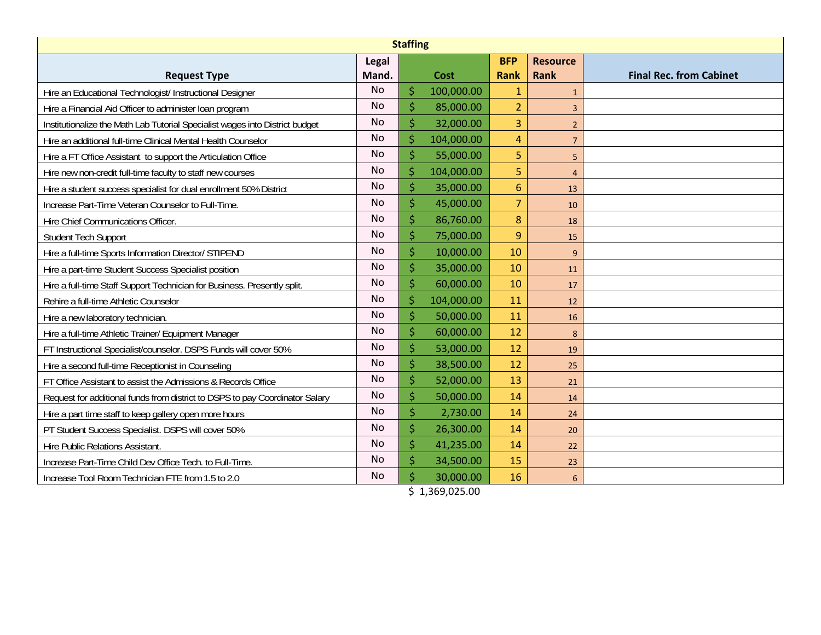| <b>Staffing</b>                                                              |           |                     |            |                |                 |                                |  |  |
|------------------------------------------------------------------------------|-----------|---------------------|------------|----------------|-----------------|--------------------------------|--|--|
|                                                                              | Legal     |                     |            | <b>BFP</b>     | <b>Resource</b> |                                |  |  |
| <b>Request Type</b>                                                          | Mand.     | Cost                |            | Rank           | Rank            | <b>Final Rec. from Cabinet</b> |  |  |
| Hire an Educational Technologist/ Instructional Designer                     | <b>No</b> | Ŝ                   | 100,000.00 | 1              | $\mathbf{1}$    |                                |  |  |
| Hire a Financial Aid Officer to administer loan program                      | <b>No</b> | $\ddot{\mathsf{S}}$ | 85,000.00  | $\overline{2}$ | 3               |                                |  |  |
| Institutionalize the Math Lab Tutorial Specialist wages into District budget | <b>No</b> | \$                  | 32,000.00  | 3              | $\overline{2}$  |                                |  |  |
| Hire an additional full-time Clinical Mental Health Counselor                | <b>No</b> | \$                  | 104,000.00 | 4              | $\overline{7}$  |                                |  |  |
| Hire a FT Office Assistant to support the Articulation Office                | <b>No</b> | $\dot{\mathsf{S}}$  | 55,000.00  | 5              | 5               |                                |  |  |
| Hire new non-credit full-time faculty to staff new courses                   | <b>No</b> | \$                  | 104,000.00 | 5              | $\overline{4}$  |                                |  |  |
| Hire a student success specialist for dual enrollment 50% District           | <b>No</b> | \$                  | 35,000.00  | $6\phantom{1}$ | 13              |                                |  |  |
| Increase Part-Time Veteran Counselor to Full-Time.                           | <b>No</b> | $\dot{\mathsf{S}}$  | 45,000.00  | $\overline{7}$ | 10              |                                |  |  |
| Hire Chief Communications Officer.                                           | <b>No</b> | \$                  | 86,760.00  | 8              | 18              |                                |  |  |
| <b>Student Tech Support</b>                                                  | <b>No</b> | \$                  | 75,000.00  | 9              | 15              |                                |  |  |
| Hire a full-time Sports Information Director/ STIPEND                        | <b>No</b> | $\ddot{\mathsf{S}}$ | 10,000.00  | 10             | 9               |                                |  |  |
| Hire a part-time Student Success Specialist position                         | No        | \$                  | 35,000.00  | 10             | 11              |                                |  |  |
| Hire a full-time Staff Support Technician for Business. Presently split.     | <b>No</b> | \$                  | 60,000.00  | 10             | 17              |                                |  |  |
| Rehire a full-time Athletic Counselor                                        | <b>No</b> | $\dot{\mathsf{S}}$  | 104,000.00 | 11             | 12              |                                |  |  |
| Hire a new laboratory technician.                                            | <b>No</b> | \$                  | 50,000.00  | 11             | 16              |                                |  |  |
| Hire a full-time Athletic Trainer/ Equipment Manager                         | <b>No</b> | \$                  | 60,000.00  | 12             | 8               |                                |  |  |
| FT Instructional Specialist/counselor. DSPS Funds will cover 50%             | No        | \$                  | 53,000.00  | 12             | 19              |                                |  |  |
| Hire a second full-time Receptionist in Counseling                           | No        | \$                  | 38,500.00  | 12             | 25              |                                |  |  |
| FT Office Assistant to assist the Admissions & Records Office                | <b>No</b> | \$                  | 52,000.00  | 13             | 21              |                                |  |  |
| Request for additional funds from district to DSPS to pay Coordinator Salary | No        | \$                  | 50,000.00  | 14             | 14              |                                |  |  |
| Hire a part time staff to keep gallery open more hours                       | No        | \$                  | 2,730.00   | 14             | 24              |                                |  |  |
| PT Student Success Specialist. DSPS will cover 50%                           | <b>No</b> | \$                  | 26,300.00  | 14             | 20              |                                |  |  |
| Hire Public Relations Assistant.                                             | <b>No</b> | $\dot{\mathsf{S}}$  | 41,235.00  | 14             | 22              |                                |  |  |
| Increase Part-Time Child Dev Office Tech. to Full-Time.                      | No        | \$                  | 34,500.00  | 15             | 23              |                                |  |  |
| Increase Tool Room Technician FTE from 1.5 to 2.0                            | <b>No</b> | Ś                   | 30,000.00  | 16             | 6               |                                |  |  |

\$ 1,369,025.00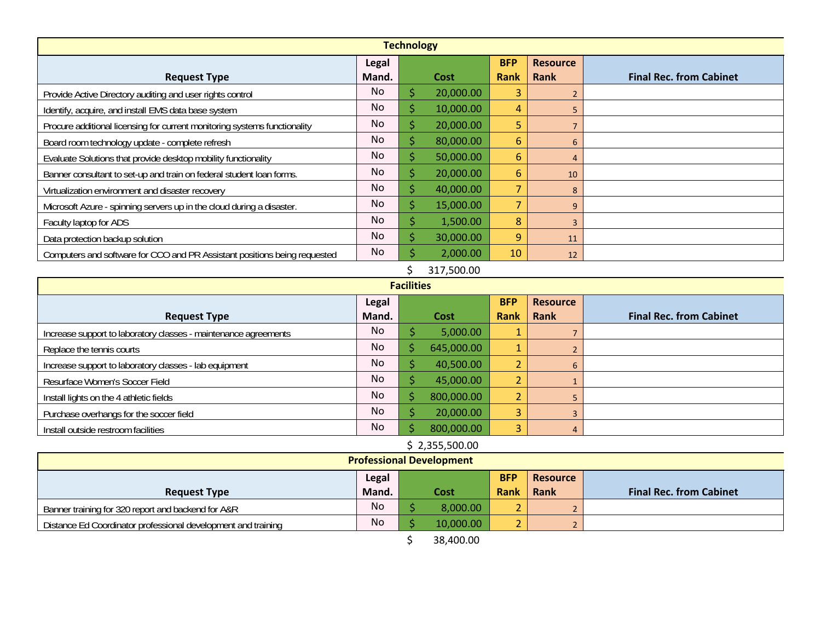| <b>Technology</b>                                                         |                |    |           |                |                 |                                |  |  |
|---------------------------------------------------------------------------|----------------|----|-----------|----------------|-----------------|--------------------------------|--|--|
|                                                                           | Legal          |    |           | <b>BFP</b>     | <b>Resource</b> |                                |  |  |
| <b>Request Type</b>                                                       | Mand.          |    | Cost      | <b>Rank</b>    | Rank            | <b>Final Rec. from Cabinet</b> |  |  |
| Provide Active Directory auditing and user rights control                 | N <sub>o</sub> | ς  | 20,000.00 | 3              | 2               |                                |  |  |
| Identify, acquire, and install EMS data base system                       | N <sub>o</sub> | S  | 10,000.00 | 4              | 5               |                                |  |  |
| Procure additional licensing for current monitoring systems functionality | No             |    | 20,000.00 | 5              | $\overline{7}$  |                                |  |  |
| Board room technology update - complete refresh                           | No             |    | 80,000.00 | 6              | 6               |                                |  |  |
| Evaluate Solutions that provide desktop mobility functionality            | No             |    | 50,000.00 | 6              | $\overline{4}$  |                                |  |  |
| Banner consultant to set-up and train on federal student loan forms.      | No.            |    | 20,000.00 | 6              | 10              |                                |  |  |
| Virtualization environment and disaster recovery                          | N <sub>o</sub> |    | 40,000.00 | 7              | 8               |                                |  |  |
| Microsoft Azure - spinning servers up in the cloud during a disaster.     | No             | \$ | 15,000.00 | $\overline{7}$ | 9               |                                |  |  |
| Faculty laptop for ADS                                                    | <b>No</b>      | Ś  | 1,500.00  | 8              | 3               |                                |  |  |
| Data protection backup solution                                           | No             |    | 30,000.00 | 9              | 11              |                                |  |  |
| Computers and software for CCO and PR Assistant positions being requested | N <sub>o</sub> |    | 2,000.00  | 10             | 12              |                                |  |  |
| 317,500.00                                                                |                |    |           |                |                 |                                |  |  |
| <b>Facilities</b>                                                         |                |    |           |                |                 |                                |  |  |

| <b>Facilities</b>                                               |           |  |            |                |                 |                                |  |  |
|-----------------------------------------------------------------|-----------|--|------------|----------------|-----------------|--------------------------------|--|--|
|                                                                 | Legal     |  |            | <b>BFP</b>     | <b>Resource</b> |                                |  |  |
| <b>Request Type</b>                                             | Mand.     |  | Cost       | <b>Rank</b>    | Rank            | <b>Final Rec. from Cabinet</b> |  |  |
| Increase support to laboratory classes - maintenance agreements | No        |  | 5,000.00   | $\mathbf{1}$   |                 |                                |  |  |
| Replace the tennis courts                                       | No        |  | 645,000.00 | $\mathbf{1}$   |                 |                                |  |  |
| Increase support to laboratory classes - lab equipment          | No.       |  | 40,500.00  | L              | 6               |                                |  |  |
| Resurface Women's Soccer Field                                  | No.       |  | 45,000.00  | $\overline{2}$ |                 |                                |  |  |
| Install lights on the 4 athletic fields                         | <b>No</b> |  | 800,000.00 | $\overline{2}$ |                 |                                |  |  |
| Purchase overhangs for the soccer field                         | No        |  | 20,000.00  | 3              |                 |                                |  |  |
| Install outside restroom facilities                             | No        |  | 800,000.00 | 3              |                 |                                |  |  |

## \$ 2,355,500.00

| <b>Professional Development</b>                               |                 |  |           |                          |      |                                |
|---------------------------------------------------------------|-----------------|--|-----------|--------------------------|------|--------------------------------|
|                                                               | <b>Resource</b> |  |           |                          |      |                                |
| <b>Request Type</b>                                           | Mand.           |  | Cost      | Rank                     | Rank | <b>Final Rec. from Cabinet</b> |
| Banner training for 320 report and backend for A&R            | No              |  | 8,000.00  | $\sim$                   |      |                                |
| Distance Ed Coordinator professional development and training | No              |  | 10,000.00 | $\overline{\phantom{0}}$ |      |                                |